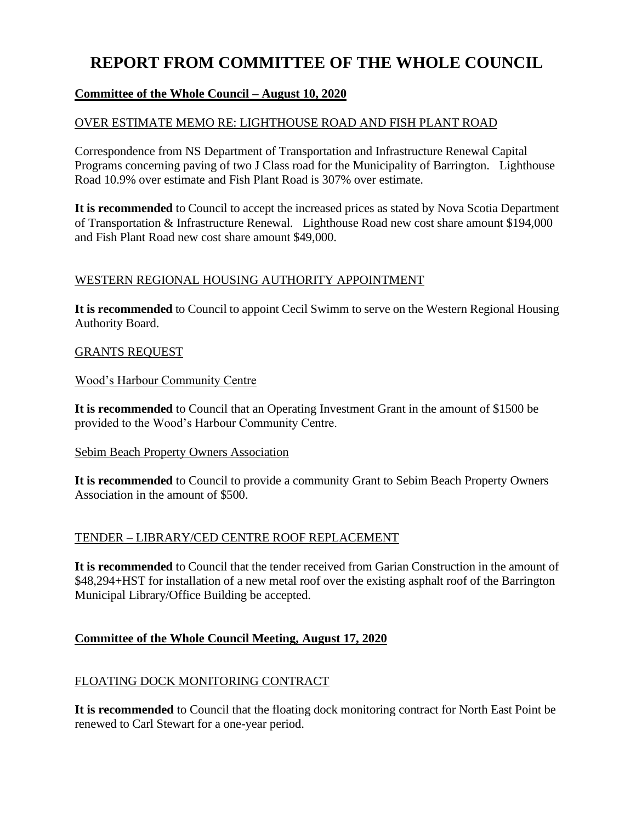# **REPORT FROM COMMITTEE OF THE WHOLE COUNCIL**

## **Committee of the Whole Council – August 10, 2020**

## OVER ESTIMATE MEMO RE: LIGHTHOUSE ROAD AND FISH PLANT ROAD

Correspondence from NS Department of Transportation and Infrastructure Renewal Capital Programs concerning paving of two J Class road for the Municipality of Barrington. Lighthouse Road 10.9% over estimate and Fish Plant Road is 307% over estimate.

**It is recommended** to Council to accept the increased prices as stated by Nova Scotia Department of Transportation & Infrastructure Renewal. Lighthouse Road new cost share amount \$194,000 and Fish Plant Road new cost share amount \$49,000.

## WESTERN REGIONAL HOUSING AUTHORITY APPOINTMENT

**It is recommended** to Council to appoint Cecil Swimm to serve on the Western Regional Housing Authority Board.

#### GRANTS REQUEST

Wood's Harbour Community Centre

**It is recommended** to Council that an Operating Investment Grant in the amount of \$1500 be provided to the Wood's Harbour Community Centre.

#### Sebim Beach Property Owners Association

**It is recommended** to Council to provide a community Grant to Sebim Beach Property Owners Association in the amount of \$500.

## TENDER – LIBRARY/CED CENTRE ROOF REPLACEMENT

**It is recommended** to Council that the tender received from Garian Construction in the amount of \$48,294+HST for installation of a new metal roof over the existing asphalt roof of the Barrington Municipal Library/Office Building be accepted.

## **Committee of the Whole Council Meeting, August 17, 2020**

## FLOATING DOCK MONITORING CONTRACT

**It is recommended** to Council that the floating dock monitoring contract for North East Point be renewed to Carl Stewart for a one-year period.